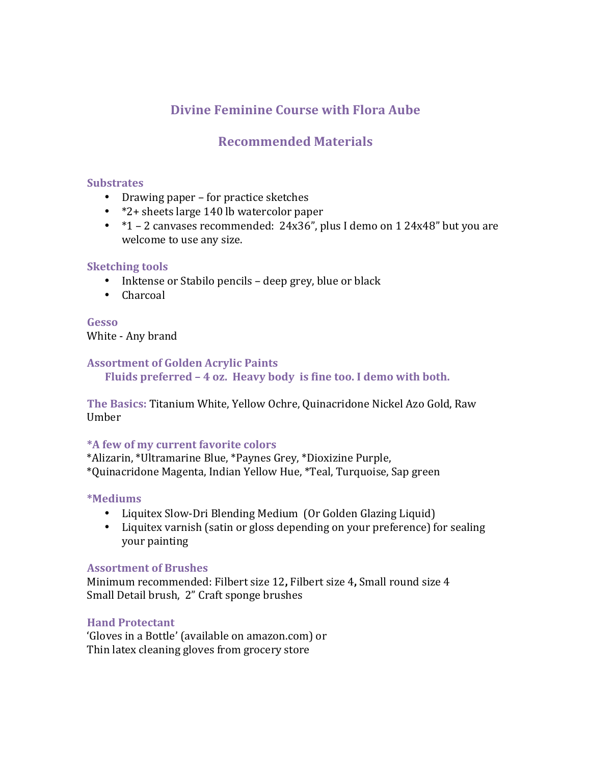# **Divine Feminine Course with Flora Aube**

# **Recommended Materials**

#### **Substrates**

- Drawing paper for practice sketches
- \*2+ sheets large 140 lb watercolor paper
- $*1 2$  canvases recommended:  $24x36$ ", plus I demo on 1  $24x48$ " but you are welcome to use any size.

#### **Sketching** tools

- Inktense or Stabilo pencils deep grey, blue or black
- Charcoal

**Gesso**  White - Any brand

### **Assortment of Golden Acrylic Paints**

**Fluids preferred – 4 oz. Heavy body is fine too. I demo with both.** 

**The Basics: Titanium White, Yellow Ochre, Quinacridone Nickel Azo Gold, Raw** Umber 

#### **\*A few of my current favorite colors**

\*Alizarin, \*Ultramarine Blue, \*Paynes Grey, \*Dioxizine Purple, \*Quinacridone Magenta, Indian Yellow Hue, \*Teal, Turquoise, Sap green

**\*Mediums**

- Liquitex Slow-Dri Blending Medium (Or Golden Glazing Liquid)
- Liquitex varnish (satin or gloss depending on your preference) for sealing your painting

#### **Assortment of Brushes**

Minimum recommended: Filbert size 12, Filbert size 4, Small round size 4 Small Detail brush, 2" Craft sponge brushes

#### **Hand Protectant**

'Gloves in a Bottle' (available on amazon.com) or Thin latex cleaning gloves from grocery store